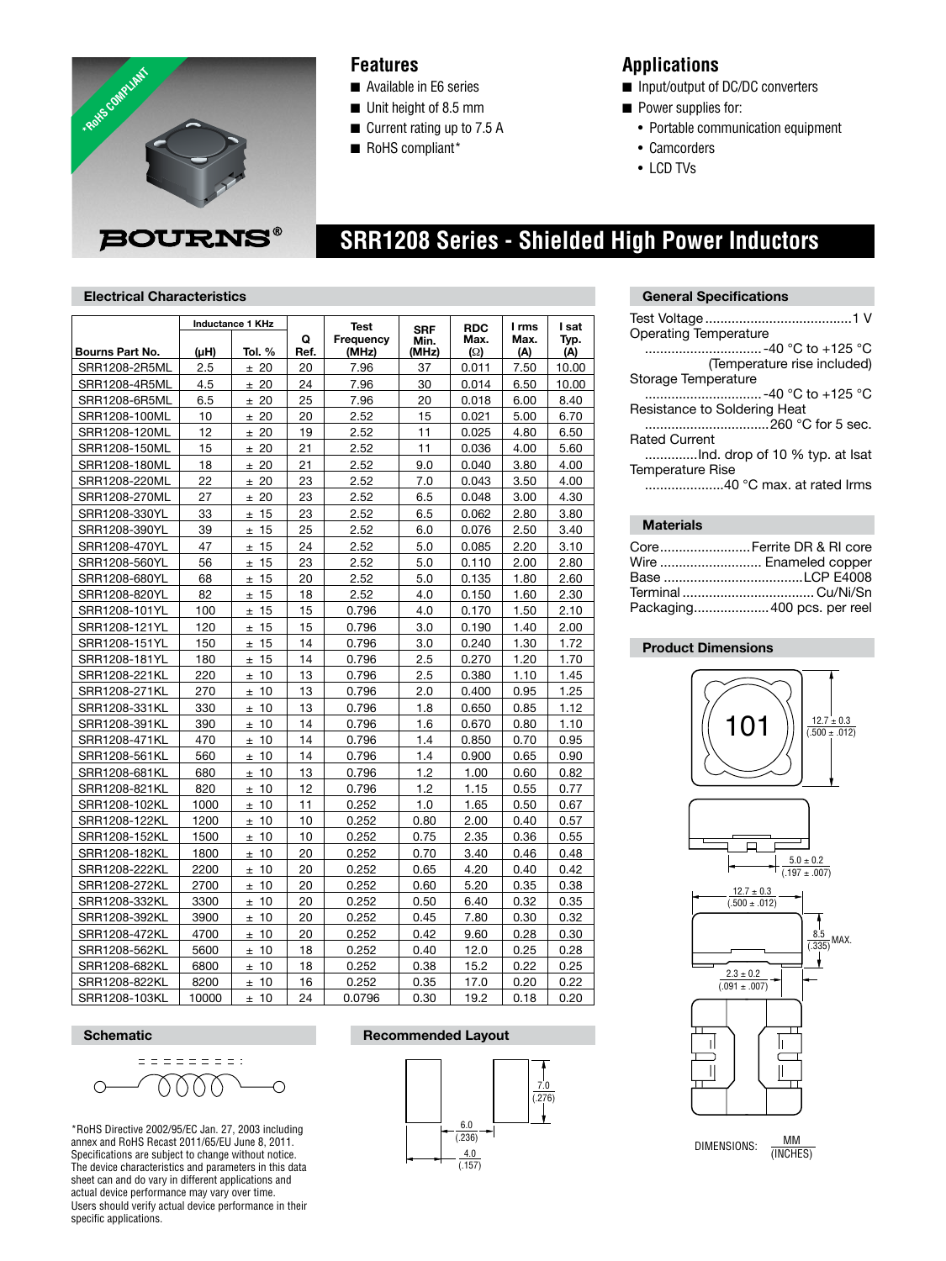

## **Features**

- Available in E6 series
- $\blacksquare$  Unit height of 8.5 mm
- $\blacksquare$  Current rating up to 7.5 A
- RoHS compliant\*

## **Applications**

- Input/output of DC/DC converters
- $\blacksquare$  Power supplies for:
	- Portable communication equipment
	- Camcorders
	- LCD TVs

# **SRR1208 Series - Shielded High Power Inductors**

#### **Electrical Characteristics**

|                 | <b>Inductance 1 KHz</b> |              |      | <b>Test</b> | <b>SRF</b> | <b>RDC</b> | I rms | I sat |
|-----------------|-------------------------|--------------|------|-------------|------------|------------|-------|-------|
|                 |                         |              | Q    | Frequency   | Min.       | Max.       | Max.  | Typ.  |
| Bourns Part No. | (µH)                    | Tol. %       | Ref. | (MHz)       | (MHz)      | $\Omega$   | (A)   | (A)   |
| SRR1208-2R5ML   | 2.5                     | ± 20         | 20   | 7.96        | 37         | 0.011      | 7.50  | 10.00 |
| SRR1208-4R5ML   | 4.5                     | ± 20         | 24   | 7.96        | 30         | 0.014      | 6.50  | 10.00 |
| SRR1208-6R5ML   | 6.5                     | ± 20         | 25   | 7.96        | 20         | 0.018      | 6.00  | 8.40  |
| SRR1208-100ML   | 10                      | ± 20         | 20   | 2.52        | 15         | 0.021      | 5.00  | 6.70  |
| SRR1208-120ML   | 12                      | ± 20         | 19   | 2.52        | 11         | 0.025      | 4.80  | 6.50  |
| SRR1208-150ML   | 15                      | ± 20         | 21   | 2.52        | 11         | 0.036      | 4.00  | 5.60  |
| SRR1208-180ML   | 18                      | 20<br>±.     | 21   | 2.52        | 9.0        | 0.040      | 3.80  | 4.00  |
| SRR1208-220ML   | 22                      | 20<br>$\pm$  | 23   | 2.52        | 7.0        | 0.043      | 3.50  | 4.00  |
| SRR1208-270ML   | 27                      | ± 20         | 23   | 2.52        | 6.5        | 0.048      | 3.00  | 4.30  |
| SRR1208-330YL   | 33                      | 15<br>$\pm$  | 23   | 2.52        | 6.5        | 0.062      | 2.80  | 3.80  |
| SRR1208-390YL   | 39                      | 15<br>$\pm$  | 25   | 2.52        | 6.0        | 0.076      | 2.50  | 3.40  |
| SRR1208-470YL   | 47                      | 15<br>$\pm$  | 24   | 2.52        | 5.0        | 0.085      | 2.20  | 3.10  |
| SRR1208-560YL   | 56                      | ±15          | 23   | 2.52        | 5.0        | 0.110      | 2.00  | 2.80  |
| SRR1208-680YL   | 68                      | ±15          | 20   | 2.52        | 5.0        | 0.135      | 1.80  | 2.60  |
| SRR1208-820YL   | 82                      | 15<br>$\pm$  | 18   | 2.52        | 4.0        | 0.150      | 1.60  | 2.30  |
| SRR1208-101YL   | 100                     | ±15          | 15   | 0.796       | 4.0        | 0.170      | 1.50  | 2.10  |
| SRR1208-121YL   | 120                     | ±15          | 15   | 0.796       | 3.0        | 0.190      | 1.40  | 2.00  |
| SRR1208-151YL   | 150                     | ±15          | 14   | 0.796       | 3.0        | 0.240      | 1.30  | 1.72  |
| SRR1208-181YL   | 180                     | ±15          | 14   | 0.796       | 2.5        | 0.270      | 1.20  | 1.70  |
| SRR1208-221KL   | 220                     | ±10          | 13   | 0.796       | 2.5        | 0.380      | 1.10  | 1.45  |
| SRR1208-271KL   | 270                     | 10<br>±.     | 13   | 0.796       | 2.0        | 0.400      | 0.95  | 1.25  |
| SRR1208-331KL   | 330                     | 10<br>$\pm$  | 13   | 0.796       | 1.8        | 0.650      | 0.85  | 1.12  |
| SRR1208-391KL   | 390                     | 10<br>$\pm$  | 14   | 0.796       | 1.6        | 0.670      | 0.80  | 1.10  |
| SRR1208-471KL   | 470                     | ±10          | 14   | 0.796       | 1.4        | 0.850      | 0.70  | 0.95  |
| SRR1208-561KL   | 560                     | 10<br>$\pm$  | 14   | 0.796       | 1.4        | 0.900      | 0.65  | 0.90  |
| SRR1208-681KL   | 680                     | ±10          | 13   | 0.796       | 1.2        | 1.00       | 0.60  | 0.82  |
| SRR1208-821KL   | 820                     | 10<br>$\pm$  | 12   | 0.796       | 1.2        | 1.15       | 0.55  | 0.77  |
| SRR1208-102KL   | 1000                    | ±10          | 11   | 0.252       | 1.0        | 1.65       | 0.50  | 0.67  |
| SRR1208-122KL   | 1200                    | 10<br>$\pm$  | 10   | 0.252       | 0.80       | 2.00       | 0.40  | 0.57  |
| SRR1208-152KL   | 1500                    | 10<br>$\pm$  | 10   | 0.252       | 0.75       | 2.35       | 0.36  | 0.55  |
| SRR1208-182KL   | 1800                    | -10<br>$\pm$ | 20   | 0.252       | 0.70       | 3.40       | 0.46  | 0.48  |
| SRR1208-222KL   | 2200                    | ±10          | 20   | 0.252       | 0.65       | 4.20       | 0.40  | 0.42  |
| SRR1208-272KL   | 2700                    | 10<br>$\pm$  | 20   | 0.252       | 0.60       | 5.20       | 0.35  | 0.38  |
| SRR1208-332KL   | 3300                    | ±10          | 20   | 0.252       | 0.50       | 6.40       | 0.32  | 0.35  |
| SRR1208-392KL   | 3900                    | ± 10         | 20   | 0.252       | 0.45       | 7.80       | 0.30  | 0.32  |
| SRR1208-472KL   | 4700                    | 10<br>$\pm$  | 20   | 0.252       | 0.42       | 9.60       | 0.28  | 0.30  |
| SRR1208-562KL   | 5600                    | 10<br>$\pm$  | 18   | 0.252       | 0.40       | 12.0       | 0.25  | 0.28  |
| SRR1208-682KL   | 6800                    | 10<br>$\pm$  | 18   | 0.252       | 0.38       | 15.2       | 0.22  | 0.25  |
| SRR1208-822KL   | 8200                    | 10<br>±      | 16   | 0.252       | 0.35       | 17.0       | 0.20  | 0.22  |
| SRR1208-103KL   | 10000                   | 10<br>$\pm$  | 24   | 0.0796      | 0.30       | 19.2       | 0.18  | 0.20  |

#### **General Specifications**

| Operating Temperature        |
|------------------------------|
| ………………………-40 °C to +125 °C   |
| (Temperature rise included)  |
| Storage Temperature          |
| …………………………-40 °C to +125 °C  |
| Resistance to Soldering Heat |
| 260 °C for 5 sec.            |
| <b>Rated Current</b>         |
|                              |
| <b>Temperature Rise</b>      |
| 40 °C max. at rated Irms     |
|                              |

#### **Materials**

| CoreFerrite DR & RI core    |
|-----------------------------|
| Wire  Enameled copper       |
|                             |
|                             |
| Packaging 400 pcs. per reel |

#### **Product Dimensions**





DIMENSIONS:  $\frac{MM}{MNCHE}$ (INCHES)

$$
\circ \overbrace{\hspace{2.5cm}}^{\text{S}} \circ \overbrace{\hspace{2.5cm}}^{\text{S}} \circ \overbrace{\hspace{2.5cm}}^{\text{S}} \circ \overbrace{\hspace{2.5cm}}^{\text{S}} \circ \overbrace{\hspace{2.5cm}}^{\text{S}} \circ \overbrace{\hspace{2.5cm}}^{\text{S}} \circ \overbrace{\hspace{2.5cm}}^{\text{S}} \circ \overbrace{\hspace{2.5cm}}^{\text{S}} \circ \overbrace{\hspace{2.5cm}}^{\text{S}} \circ \overbrace{\hspace{2.5cm}}^{\text{S}} \circ \overbrace{\hspace{2.5cm}}^{\text{S}} \circ \overbrace{\hspace{2.5cm}}^{\text{S}} \circ \overbrace{\hspace{2.5cm}}^{\text{S}} \circ \overbrace{\hspace{2.5cm}}^{\text{S}} \circ \overbrace{\hspace{2.5cm}}^{\text{S}} \circ \overbrace{\hspace{2.5cm}}^{\text{S}} \circ \overbrace{\hspace{2.5cm}}^{\text{S}} \circ \overbrace{\hspace{2.5cm}}^{\text{S}} \circ \overbrace{\hspace{2.5cm}}^{\text{S}} \circ \overbrace{\hspace{2.5cm}}^{\text{S}} \circ \overbrace{\hspace{2.5cm}}^{\text{S}} \circ \overbrace{\hspace{2.5cm}}^{\text{S}} \circ \overbrace{\hspace{2.5cm}}^{\text{S}} \circ \overbrace{\hspace{2.5cm}}^{\text{S}} \circ \overbrace{\hspace{2.5cm}}^{\text{S}} \circ \overbrace{\hspace{2.5cm}}^{\text{S}} \circ \overbrace{\hspace{2.5cm}}^{\text{S}} \circ \overbrace{\hspace{2.5cm}}^{\text{S}} \circ \overbrace{\hspace{2.5cm}}^{\text{S}} \circ \overbrace{\hspace{2.5cm}}^{\text{S}} \circ \overbrace{\hspace{2.5cm}}^{\text{S}} \circ \overbrace{\hspace{2.5cm}}^{\text{S}} \circ \overbrace{\hspace{2.5cm}}^{\text{S}} \circ \overbrace{\hspace{2.5cm}}^{\text{S}} \circ \overbrace{\hspace{2.5cm}}^{\text{S}} \circ \overbrace{\hspace{2.5cm}}^{\text{S}} \circ \overbrace{\hspace{2.5cm}}^{\text{S}} \circ \overbrace{\hspace{2.5cm}}^{\text{S}}
$$

\*RoHS Directive 2002/95/EC Jan. 27, 2003 including annex and RoHS Recast 2011/65/EU June 8, 2011. Specifications are subject to change without notice. The device characteristics and parameters in this data sheet can and do vary in different applications and actual device performance may vary over time. Users should verify actual device performance in their specific applications.

# **Schematic Recommended Layout**